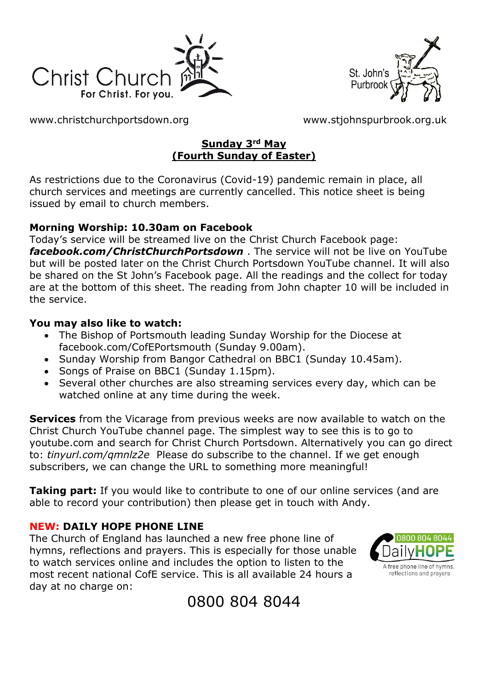



[www.christchurchportsdown.org](http://www.christchurchportsdown.org/) [www.stjohnspurbrook.org.uk](http://www.stjohnspurbrook.org.uk/)

#### **Sunday 3rd May (Fourth Sunday of Easter)**

As restrictions due to the Coronavirus (Covid-19) pandemic remain in place, all church services and meetings are currently cancelled. This notice sheet is being issued by email to church members.

#### **Morning Worship: 10.30am on Facebook**

Today's service will be streamed live on the Christ Church Facebook page: *[facebook.com/ChristChurchPortsdown](http://www.facebook.com/ChristChurchPortsdown%20at%2010.30)* . The service will not be live on YouTube but will be posted later on the Christ Church Portsdown YouTube channel. It will also be shared on the St John's Facebook page. All the readings and the collect for today are at the bottom of this sheet. The reading from John chapter 10 will be included in the service.

#### **You may also like to watch:**

- The Bishop of Portsmouth leading Sunday Worship for the Diocese at facebook.com/CofEPortsmouth (Sunday 9.00am).
- Sunday Worship from Bangor Cathedral on BBC1 (Sunday 10.45am).
- Songs of Praise on BBC1 (Sunday 1.15pm).
- Several other churches are also streaming services every day, which can be watched online at any time during the week.

**Services** from the Vicarage from previous weeks are now available to watch on the Christ Church YouTube channel page. The simplest way to see this is to go to youtube.com and search for Christ Church Portsdown. Alternatively you can go direct to: *tinyurl.com/qmnlz2e* Please do subscribe to the channel. If we get enough subscribers, we can change the URL to something more meaningful!

**Taking part:** If you would like to contribute to one of our online services (and are able to record your contribution) then please get in touch with Andy.

#### **NEW: DAILY HOPE PHONE LINE**

The Church of England has launched a new free phone line of hymns, reflections and prayers. This is especially for those unable to watch services online and includes the option to listen to the most recent national CofE service. This is all available 24 hours a day at no charge on:



# 0800 804 8044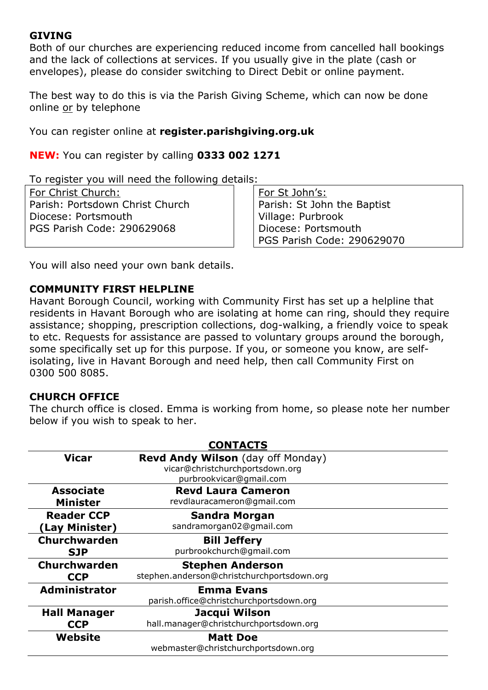#### **GIVING**

Both of our churches are experiencing reduced income from cancelled hall bookings and the lack of collections at services. If you usually give in the plate (cash or envelopes), please do consider switching to Direct Debit or online payment.

The best way to do this is via the Parish Giving Scheme, which can now be done online or by telephone

You can register online at **register.parishgiving.org.uk**

**NEW:** You can register by calling **0333 002 1271**

To register you will need the following details:

For Christ Church: Parish: Portsdown Christ Church Diocese: Portsmouth PGS Parish Code: 290629068

For St John's: Parish: St John the Baptist Village: Purbrook Diocese: Portsmouth PGS Parish Code: 290629070

You will also need your own bank details.

#### **COMMUNITY FIRST HELPLINE**

Havant Borough Council, working with Community First has set up a helpline that residents in Havant Borough who are isolating at home can ring, should they require assistance; shopping, prescription collections, dog-walking, a friendly voice to speak to etc. Requests for assistance are passed to voluntary groups around the borough, some specifically set up for this purpose. If you, or someone you know, are selfisolating, live in Havant Borough and need help, then call Community First on 0300 500 8085.

#### **CHURCH OFFICE**

The church office is closed. Emma is working from home, so please note her number below if you wish to speak to her.

| <b>CONTACTS</b>      |                                                                                                        |
|----------------------|--------------------------------------------------------------------------------------------------------|
| <b>Vicar</b>         | <b>Revd Andy Wilson</b> (day off Monday)<br>vicar@christchurchportsdown.org<br>purbrookvicar@gmail.com |
| <b>Associate</b>     | <b>Revd Laura Cameron</b>                                                                              |
| <b>Minister</b>      | revdlauracameron@gmail.com                                                                             |
| <b>Reader CCP</b>    | <b>Sandra Morgan</b>                                                                                   |
| (Lay Minister)       | sandramorgan02@gmail.com                                                                               |
| <b>Churchwarden</b>  | <b>Bill Jeffery</b>                                                                                    |
| <b>SJP</b>           | purbrookchurch@qmail.com                                                                               |
| Churchwarden         | <b>Stephen Anderson</b>                                                                                |
| <b>CCP</b>           | stephen.anderson@christchurchportsdown.org                                                             |
| <b>Administrator</b> | <b>Emma Evans</b>                                                                                      |
|                      | parish.office@christchurchportsdown.org                                                                |
| <b>Hall Manager</b>  | Jacqui Wilson                                                                                          |
| <b>CCP</b>           | hall.manager@christchurchportsdown.org                                                                 |
| Website              | <b>Matt Doe</b>                                                                                        |
|                      | webmaster@christchurchportsdown.org                                                                    |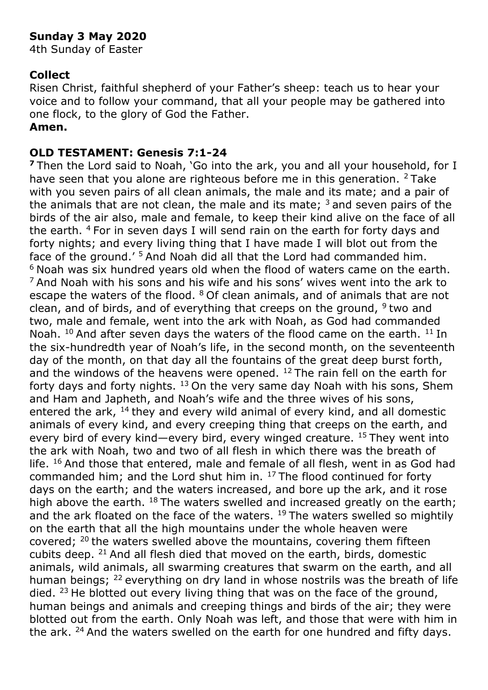# **Sunday 3 May 2020**

4th Sunday of Easter

#### **Collect**

Risen Christ, faithful shepherd of your Father's sheep: teach us to hear your voice and to follow your command, that all your people may be gathered into one flock, to the glory of God the Father.

# **Amen.**

#### **OLD TESTAMENT: Genesis 7:1-24**

**<sup>7</sup>**Then the Lord said to Noah, 'Go into the ark, you and all your household, for I have seen that you alone are righteous before me in this generation.  $2$  Take with you seven pairs of all clean animals, the male and its mate; and a pair of the animals that are not clean, the male and its mate;  $3$  and seven pairs of the birds of the air also, male and female, to keep their kind alive on the face of all the earth.  $4$  For in seven days I will send rain on the earth for forty days and forty nights; and every living thing that I have made I will blot out from the face of the ground.' <sup>5</sup> And Noah did all that the Lord had commanded him. <sup>6</sup> Noah was six hundred years old when the flood of waters came on the earth.  $7$  And Noah with his sons and his wife and his sons' wives went into the ark to escape the waters of the flood. <sup>8</sup> Of clean animals, and of animals that are not clean, and of birds, and of everything that creeps on the ground,  $9$  two and two, male and female, went into the ark with Noah, as God had commanded Noah.  $^{10}$  And after seven days the waters of the flood came on the earth.  $^{11}$  In the six-hundredth year of Noah's life, in the second month, on the seventeenth day of the month, on that day all the fountains of the great deep burst forth, and the windows of the heavens were opened.  $12$  The rain fell on the earth for forty days and forty nights.  $13$  On the very same day Noah with his sons, Shem and Ham and Japheth, and Noah's wife and the three wives of his sons, entered the ark,  $^{14}$  they and every wild animal of every kind, and all domestic animals of every kind, and every creeping thing that creeps on the earth, and every bird of every kind—every bird, every winged creature.  $15$  They went into the ark with Noah, two and two of all flesh in which there was the breath of life.  $16$  And those that entered, male and female of all flesh, went in as God had commanded him; and the Lord shut him in. <sup>17</sup> The flood continued for forty days on the earth; and the waters increased, and bore up the ark, and it rose high above the earth.  $^{18}$  The waters swelled and increased greatly on the earth; and the ark floated on the face of the waters. <sup>19</sup> The waters swelled so mightily on the earth that all the high mountains under the whole heaven were covered; <sup>20</sup> the waters swelled above the mountains, covering them fifteen cubits deep. <sup>21</sup> And all flesh died that moved on the earth, birds, domestic animals, wild animals, all swarming creatures that swarm on the earth, and all human beings; <sup>22</sup> everything on dry land in whose nostrils was the breath of life died.  $23$  He blotted out every living thing that was on the face of the ground, human beings and animals and creeping things and birds of the air; they were blotted out from the earth. Only Noah was left, and those that were with him in the ark. <sup>24</sup> And the waters swelled on the earth for one hundred and fifty days.